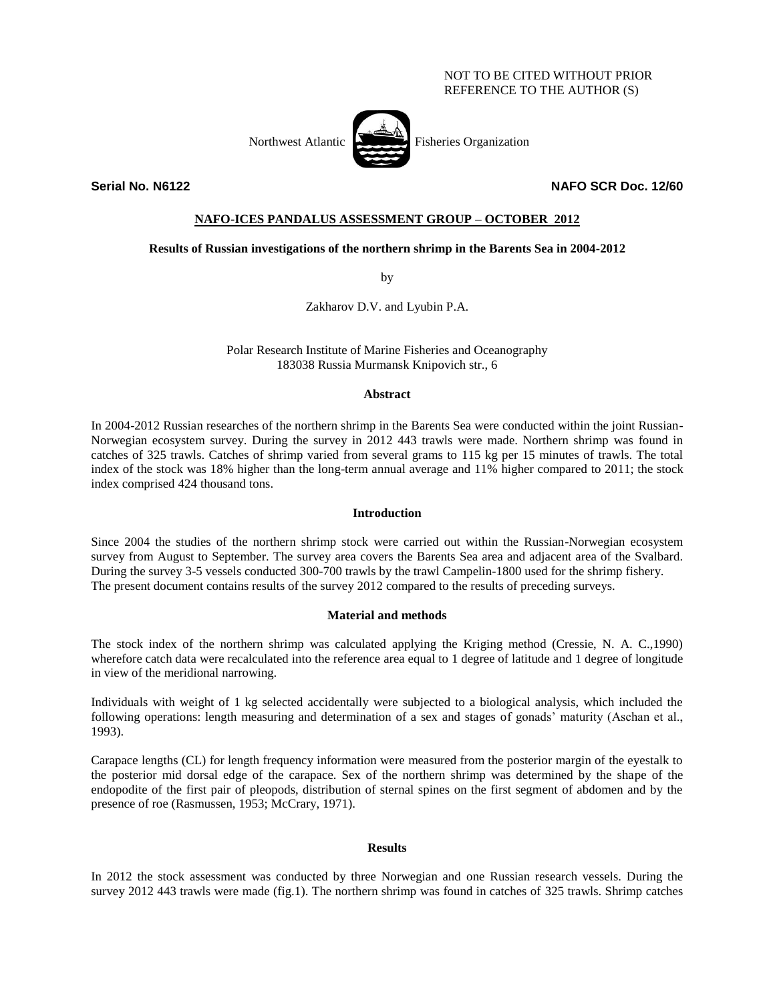## NOT TO BE CITED WITHOUT PRIOR REFERENCE TO THE AUTHOR (S)

Northwest Atlantic Fisheries Organization



**Serial No. N6122 NAFO SCR Doc. 12/60**

# **NAFO-ICES PANDALUS ASSESSMENT GROUP – OCTOBER 2012**

### **Results of Russian investigations of the northern shrimp in the Barents Sea in 2004-2012**

by

Zakharov D.V. and Lyubin P.A.

Polar Research Institute of Marine Fisheries and Oceanography 183038 Russia Murmansk Knipovich str., 6

#### **Abstract**

In 2004-2012 Russian researches of the northern shrimp in the Barents Sea were conducted within the joint Russian-Norwegian ecosystem survey. During the survey in 2012 443 trawls were made. Northern shrimp was found in catches of 325 trawls. Catches of shrimp varied from several grams to 115 kg per 15 minutes of trawls. The total index of the stock was 18% higher than the long-term annual average and 11% higher compared to 2011; the stock index comprised 424 thousand tons.

### **Introduction**

Since 2004 the studies of the northern shrimp stock were carried out within the Russian-Norwegian ecosystem survey from August to September. The survey area covers the Barents Sea area and adjacent area of the Svalbard. During the survey 3-5 vessels conducted 300-700 trawls by the trawl Campelin-1800 used for the shrimp fishery. The present document contains results of the survey 2012 compared to the results of preceding surveys.

### **Material and methods**

The stock index of the northern shrimp was calculated applying the Kriging method (Cressie, N. A. C.,1990) wherefore catch data were recalculated into the reference area equal to 1 degree of latitude and 1 degree of longitude in view of the meridional narrowing.

Individuals with weight of 1 kg selected accidentally were subjected to a biological analysis, which included the following operations: length measuring and determination of a sex and stages of gonads' maturity (Aschan et al., 1993).

Carapace lengths (CL) for length frequency information were measured from the posterior margin of the eyestalk to the posterior mid dorsal edge of the carapace. Sex of the northern shrimp was determined by the shape of the endopodite of the first pair of pleopods, distribution of sternal spines on the first segment of abdomen and by the presence of roe (Rasmussen, 1953; McCrary, 1971).

### **Results**

In 2012 the stock assessment was conducted by three Norwegian and one Russian research vessels. During the survey 2012 443 trawls were made (fig.1). The northern shrimp was found in catches of 325 trawls. Shrimp catches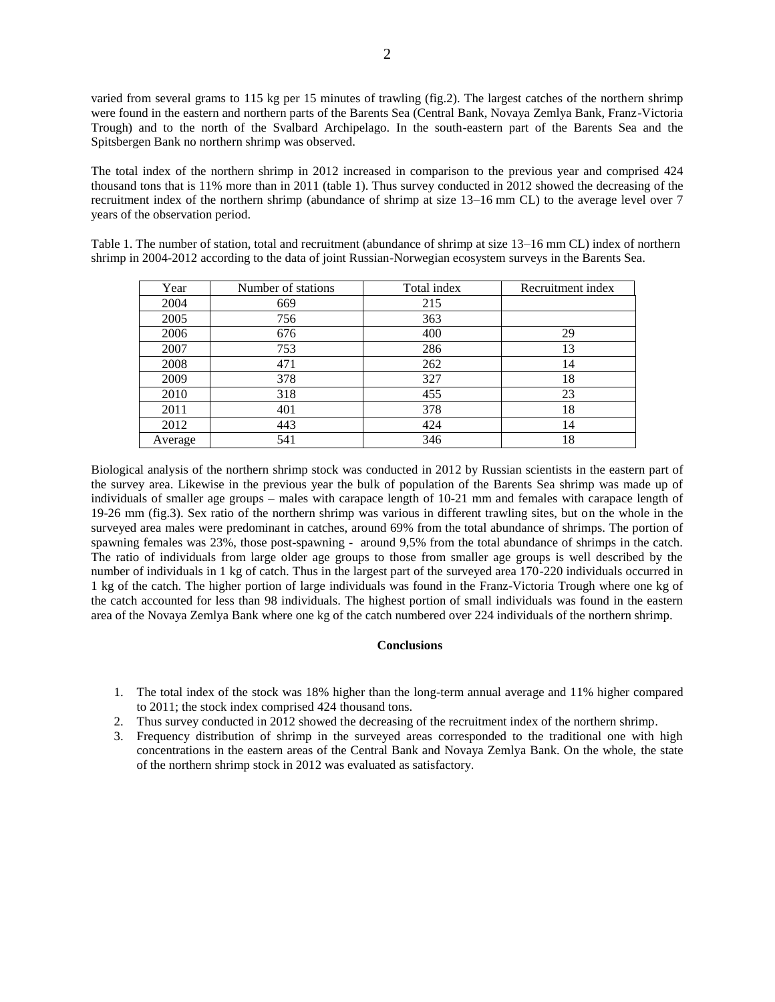varied from several grams to 115 kg per 15 minutes of trawling (fig.2). The largest catches of the northern shrimp were found in the eastern and northern parts of the Barents Sea (Central Bank, Novaya Zemlya Bank, Franz-Victoria Trough) and to the north of the Svalbard Archipelago. In the south-eastern part of the Barents Sea and the Spitsbergen Bank no northern shrimp was observed.

The total index of the northern shrimp in 2012 increased in comparison to the previous year and comprised 424 thousand tons that is 11% more than in 2011 (table 1). Thus survey conducted in 2012 showed the decreasing of the recruitment index of the northern shrimp (abundance of shrimp at size 13–16 mm CL) to the average level over 7 years of the observation period.

Table 1. The number of station, total and recruitment (abundance of shrimp at size 13–16 mm CL) index of northern shrimp in 2004-2012 according to the data of joint Russian-Norwegian ecosystem surveys in the Barents Sea.

| Year    | Number of stations | Total index | Recruitment index |
|---------|--------------------|-------------|-------------------|
| 2004    | 669                | 215         |                   |
| 2005    | 756                | 363         |                   |
| 2006    | 676                | 400         | 29                |
| 2007    | 753                | 286         | 13                |
| 2008    | 471                | 262         | 14                |
| 2009    | 378                | 327         | 18                |
| 2010    | 318                | 455         | 23                |
| 2011    | 401                | 378         | 18                |
| 2012    | 443                | 424         | 14                |
| Average | 541                | 346         | 18                |

Biological analysis of the northern shrimp stock was conducted in 2012 by Russian scientists in the eastern part of the survey area. Likewise in the previous year the bulk of population of the Barents Sea shrimp was made up of individuals of smaller age groups – males with carapace length of 10-21 mm and females with carapace length of 19-26 mm (fig.3). Sex ratio of the northern shrimp was various in different trawling sites, but on the whole in the surveyed area males were predominant in catches, around 69% from the total abundance of shrimps. The portion of spawning females was 23%, those post-spawning - around 9,5% from the total abundance of shrimps in the catch. The ratio of individuals from large older age groups to those from smaller age groups is well described by the number of individuals in 1 kg of catch. Thus in the largest part of the surveyed area 170-220 individuals occurred in 1 kg of the catch. The higher portion of large individuals was found in the Franz-Victoria Trough where one kg of the catch accounted for less than 98 individuals. The highest portion of small individuals was found in the eastern area of the Novaya Zemlya Bank where one kg of the catch numbered over 224 individuals of the northern shrimp.

### **Conclusions**

- 1. The total index of the stock was 18% higher than the long-term annual average and 11% higher compared to 2011; the stock index comprised 424 thousand tons.
- 2. Thus survey conducted in 2012 showed the decreasing of the recruitment index of the northern shrimp.
- 3. Frequency distribution of shrimp in the surveyed areas corresponded to the traditional one with high concentrations in the eastern areas of the Central Bank and Novaya Zemlya Bank. On the whole, the state of the northern shrimp stock in 2012 was evaluated as satisfactory.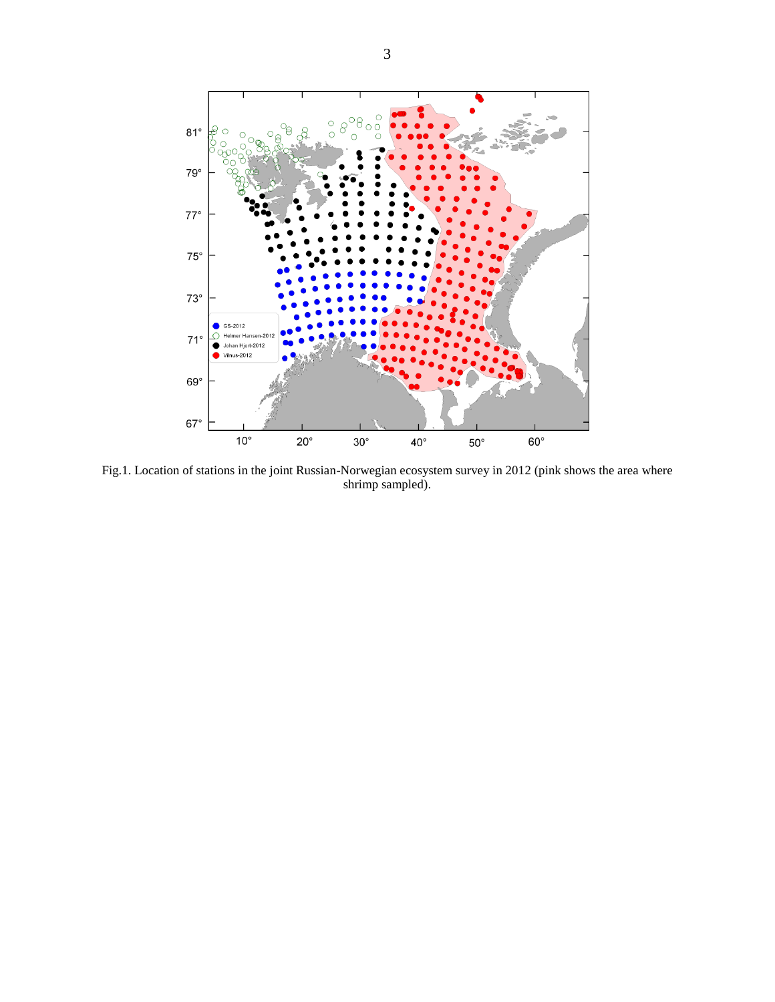

Fig.1. Location of stations in the joint Russian-Norwegian ecosystem survey in 2012 (pink shows the area where shrimp sampled).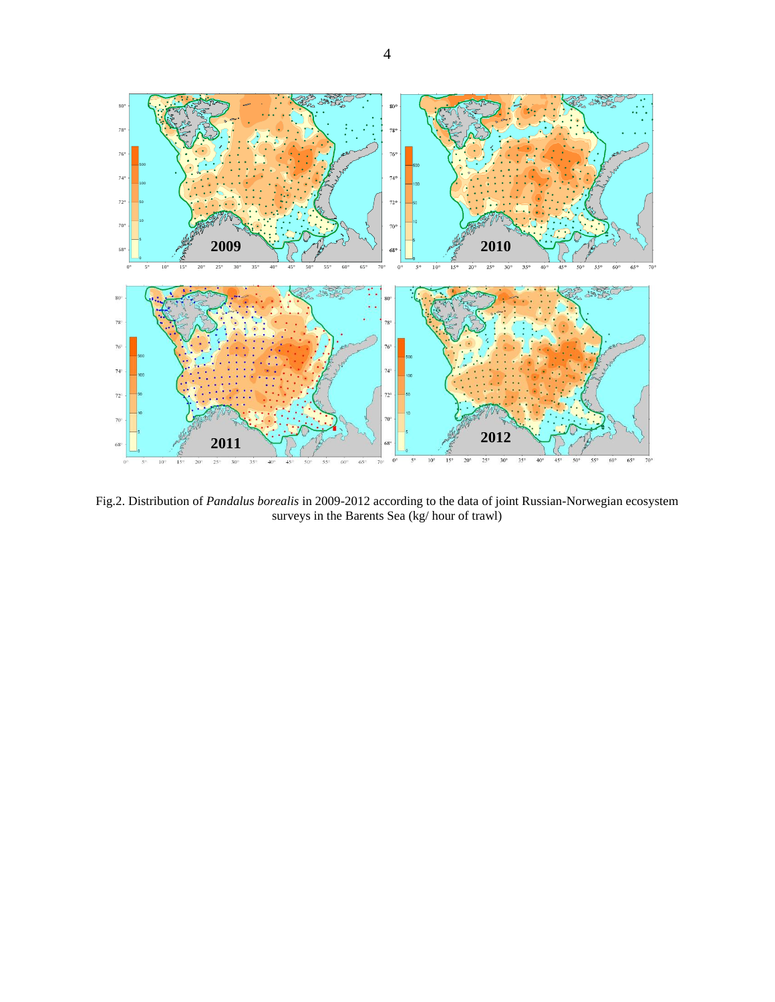

Fig.2. Distribution of *Pandalus borealis* in 2009-2012 according to the data of joint Russian-Norwegian ecosystem surveys in the Barents Sea (kg/ hour of trawl)